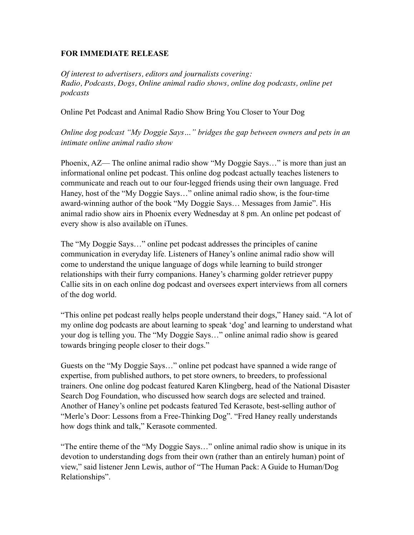## **FOR IMMEDIATE RELEASE**

*Of interest to advertisers, editors and journalists covering: Radio, Podcasts, Dogs, Online animal radio shows, online dog podcasts, online pet podcasts*

Online Pet Podcast and Animal Radio Show Bring You Closer to Your Dog

*Online dog podcast "My Doggie Says…" bridges the gap between owners and pets in an intimate online animal radio show*

Phoenix, AZ— The online animal radio show "My Doggie Says…" is more than just an informational online pet podcast. This online dog podcast actually teaches listeners to communicate and reach out to our four-legged friends using their own language. Fred Haney, host of the "My Doggie Says…" online animal radio show, is the four-time award-winning author of the book "My Doggie Says… Messages from Jamie". His animal radio show airs in Phoenix every Wednesday at 8 pm. An online pet podcast of every show is also available on iTunes.

The "My Doggie Says…" online pet podcast addresses the principles of canine communication in everyday life. Listeners of Haney's online animal radio show will come to understand the unique language of dogs while learning to build stronger relationships with their furry companions. Haney's charming golder retriever puppy Callie sits in on each online dog podcast and oversees expert interviews from all corners of the dog world.

"This online pet podcast really helps people understand their dogs," Haney said. "A lot of my online dog podcasts are about learning to speak 'dog' and learning to understand what your dog is telling you. The "My Doggie Says…" online animal radio show is geared towards bringing people closer to their dogs."

Guests on the "My Doggie Says…" online pet podcast have spanned a wide range of expertise, from published authors, to pet store owners, to breeders, to professional trainers. One online dog podcast featured Karen Klingberg, head of the National Disaster Search Dog Foundation, who discussed how search dogs are selected and trained. Another of Haney's online pet podcasts featured Ted Kerasote, best-selling author of "Merle's Door: Lessons from a Free-Thinking Dog". "Fred Haney really understands how dogs think and talk," Kerasote commented.

"The entire theme of the "My Doggie Says…" online animal radio show is unique in its devotion to understanding dogs from their own (rather than an entirely human) point of view," said listener Jenn Lewis, author of "The Human Pack: A Guide to Human/Dog Relationships".